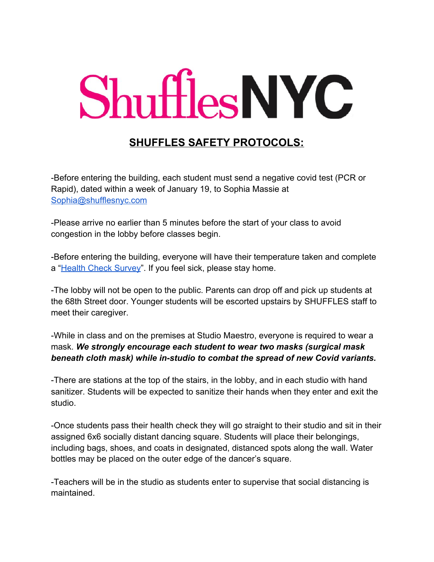## ShufflesNYC

## **SHUFFLES SAFETY PROTOCOLS:**

-Before entering the building, each student must send a negative covid test (PCR or Rapid), dated within a week of January 19, to Sophia Massie at [Sophia@shufflesnyc.com](mailto:Sophia@shufflesnyc.com)

-Please arrive no earlier than 5 minutes before the start of your class to avoid congestion in the lobby before classes begin.

-Before entering the building, everyone will have their temperature taken and complete a "[Health Check Survey"](https://forms.gle/o9SAhqjqzjm1tjKF8). If you feel sick, please stay home.

-The lobby will not be open to the public. Parents can drop off and pick up students at the 68th Street door. Younger students will be escorted upstairs by SHUFFLES staff to meet their caregiver.

-While in class and on the premises at Studio Maestro, everyone is required to wear a mask. *We strongly encourage each student to wear two masks (surgical mask beneath cloth mask) while in-studio to combat the spread of new Covid variants.*

-There are stations at the top of the stairs, in the lobby, and in each studio with hand sanitizer. Students will be expected to sanitize their hands when they enter and exit the studio.

-Once students pass their health check they will go straight to their studio and sit in their assigned 6x6 socially distant dancing square. Students will place their belongings, including bags, shoes, and coats in designated, distanced spots along the wall. Water bottles may be placed on the outer edge of the dancer's square.

-Teachers will be in the studio as students enter to supervise that social distancing is maintained.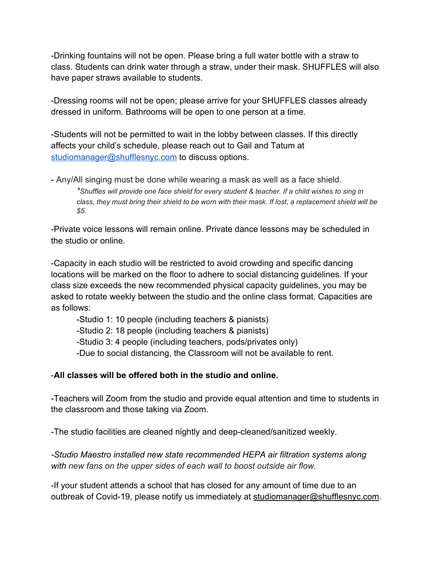-Drinking fountains will not be open. Please bring a full water bottle with a straw to class. Students can drink water through a straw, under their mask. SHUFFLES will also have paper straws available to students.

-Dressing rooms will not be open; please arrive for your SHUFFLES classes already dressed in uniform. Bathrooms will be open to one person at a time.

-Students will not be permitted to wait in the lobby between classes. If this directly affects your child's schedule, please reach out to Gail and Tatum at [studiomanager@shufflesnyc.com](mailto:studiomanager@shufflesnyc.com) to discuss options.

- Any/All singing must be done while wearing a mask as well as a face shield. \*Shuffles will provide one face shield for every student & teacher. If a child wishes to sing in class, they must bring their shield to be worn with their mask. If lost, a replacement shield will be *\$5.*

-Private voice lessons will remain online. Private dance lessons may be scheduled in the studio or online.

-Capacity in each studio will be restricted to avoid crowding and specific dancing locations will be marked on the floor to adhere to social distancing guidelines. If your class size exceeds the new recommended physical capacity guidelines, you may be asked to rotate weekly between the studio and the online class format. Capacities are as follows:

-Studio 1: 10 people (including teachers & pianists) -Studio 2: 18 people (including teachers & pianists) -Studio 3: 4 people (including teachers, pods/privates only) -Due to social distancing, the Classroom will not be available to rent.

## -**All classes will be offered both in the studio and online.**

-Teachers will Zoom from the studio and provide equal attention and time to students in the classroom and those taking via Zoom.

-The studio facilities are cleaned nightly and deep-cleaned/sanitized weekly.

*-Studio Maestro installed new state recommended HEPA air filtration systems along with new fans on the upper sides of each wall to boost outside air flow.*

-If your student attends a school that has closed for any amount of time due to an outbreak of Covid-19, please notify us immediately at [studiomanager@shufflesnyc.com](mailto:studiomanager@shufflesnyc.com).